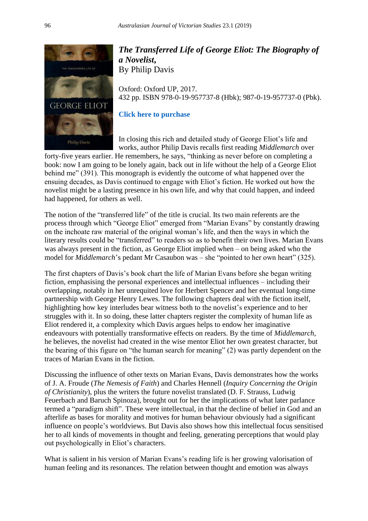

## *The Transferred Life of George Eliot: The Biography of a Novelist***,** By Philip Davis

Oxford: Oxford UP, 2017. 432 pp. ISBN 978-0-19-957737-8 (Hbk); 987-0-19-957737-0 (Pbk).

## **[Click here to purchase](https://global.oup.com/academic/product/the-transferred-life-of-george-eliot-9780198825630?cc=au&lang=en&)**

In closing this rich and detailed study of George Eliot's life and works, author Philip Davis recalls first reading *Middlemarch* over

forty-five years earlier. He remembers, he says, "thinking as never before on completing a book: now I am going to be lonely again, back out in life without the help of a George Eliot behind me" (391). This monograph is evidently the outcome of what happened over the ensuing decades, as Davis continued to engage with Eliot's fiction. He worked out how the novelist might be a lasting presence in his own life, and why that could happen, and indeed had happened, for others as well.

The notion of the "transferred life" of the title is crucial. Its two main referents are the process through which "George Eliot" emerged from "Marian Evans" by constantly drawing on the inchoate raw material of the original woman's life, and then the ways in which the literary results could be "transferred" to readers so as to benefit their own lives. Marian Evans was always present in the fiction, as George Eliot implied when – on being asked who the model for *Middlemarch*'s pedant Mr Casaubon was – she "pointed to her own heart" (325).

The first chapters of Davis's book chart the life of Marian Evans before she began writing fiction, emphasising the personal experiences and intellectual influences – including their overlapping, notably in her unrequited love for Herbert Spencer and her eventual long-time partnership with George Henry Lewes. The following chapters deal with the fiction itself, highlighting how key interludes bear witness both to the novelist's experience and to her struggles with it. In so doing, these latter chapters register the complexity of human life as Eliot rendered it, a complexity which Davis argues helps to endow her imaginative endeavours with potentially transformative effects on readers. By the time of *Middlemarch*, he believes, the novelist had created in the wise mentor Eliot her own greatest character, but the bearing of this figure on "the human search for meaning" (2) was partly dependent on the traces of Marian Evans in the fiction.

Discussing the influence of other texts on Marian Evans, Davis demonstrates how the works of J. A. Froude (*The Nemesis of Faith*) and Charles Hennell (*Inquiry Concerning the Origin of Christianity*), plus the writers the future novelist translated (D. F. Strauss, Ludwig Feuerbach and Baruch Spinoza), brought out for her the implications of what later parlance termed a "paradigm shift". These were intellectual, in that the decline of belief in God and an afterlife as bases for morality and motives for human behaviour obviously had a significant influence on people's worldviews. But Davis also shows how this intellectual focus sensitised her to all kinds of movements in thought and feeling, generating perceptions that would play out psychologically in Eliot's characters.

What is salient in his version of Marian Evans's reading life is her growing valorisation of human feeling and its resonances. The relation between thought and emotion was always